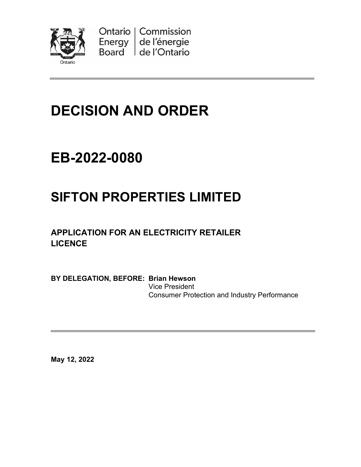

Ontario | Commission Energy de l'énergie Board de l'Ontario

# **DECISION AND ORDER**

## **EB-2022-0080**

## **SIFTON PROPERTIES LIMITED**

**APPLICATION FOR AN ELECTRICITY RETAILER LICENCE**

**BY DELEGATION, BEFORE: Brian Hewson** Vice President Consumer Protection and Industry Performance

**May 12, 2022**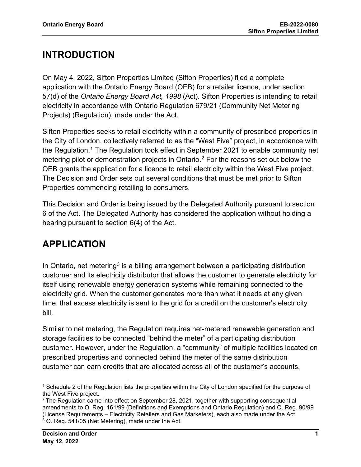### **INTRODUCTION**

On May 4, 2022, Sifton Properties Limited (Sifton Properties) filed a complete application with the Ontario Energy Board (OEB) for a retailer licence, under section 57(d) of the *Ontario Energy Board Act, 1998* (Act). Sifton Properties is intending to retail electricity in accordance with Ontario Regulation 679/21 (Community Net Metering Projects) (Regulation), made under the Act.

Sifton Properties seeks to retail electricity within a community of prescribed properties in the City of London, collectively referred to as the "West Five" project, in accordance with the Regulation.<sup>[1](#page-1-0)</sup> The Regulation took effect in September 2021 to enable community net metering pilot or demonstration projects in Ontario.[2](#page-1-1) For the reasons set out below the OEB grants the application for a licence to retail electricity within the West Five project. The Decision and Order sets out several conditions that must be met prior to Sifton Properties commencing retailing to consumers.

This Decision and Order is being issued by the Delegated Authority pursuant to section 6 of the Act. The Delegated Authority has considered the application without holding a hearing pursuant to section 6(4) of the Act.

## **APPLICATION**

In Ontario, net metering<sup>[3](#page-1-2)</sup> is a billing arrangement between a participating distribution customer and its electricity distributor that allows the customer to generate electricity for itself using renewable energy generation systems while remaining connected to the electricity grid. When the customer generates more than what it needs at any given time, that excess electricity is sent to the grid for a credit on the customer's electricity bill.

Similar to net metering, the Regulation requires net-metered renewable generation and storage facilities to be connected "behind the meter" of a participating distribution customer. However, under the Regulation, a "community" of multiple facilities located on prescribed properties and connected behind the meter of the same distribution customer can earn credits that are allocated across all of the customer's accounts,

<span id="page-1-0"></span><sup>1</sup> Schedule 2 of the Regulation lists the properties within the City of London specified for the purpose of the West Five project.

<span id="page-1-2"></span><span id="page-1-1"></span> $2$  The Regulation came into effect on September 28, 2021, together with supporting consequential amendments to O. Reg. 161/99 (Definitions and Exemptions and Ontario Regulation) and O. Reg. 90/99 (License Requirements – Electricity Retailers and Gas Marketers), each also made under the Act. <sup>3</sup> O. Reg. 541/05 (Net Metering), made under the Act.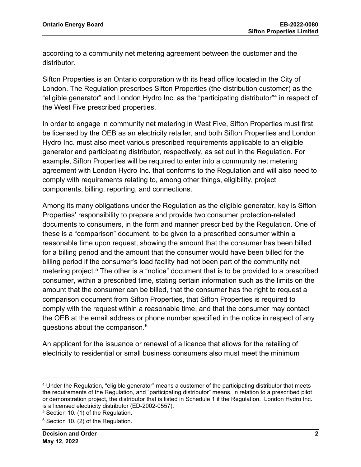according to a community net metering agreement between the customer and the distributor.

Sifton Properties is an Ontario corporation with its head office located in the City of London. The Regulation prescribes Sifton Properties (the distribution customer) as the "eligible generator" and London Hydro Inc. as the "participating distributor["4](#page-2-0) in respect of the West Five prescribed properties.

In order to engage in community net metering in West Five, Sifton Properties must first be licensed by the OEB as an electricity retailer, and both Sifton Properties and London Hydro Inc. must also meet various prescribed requirements applicable to an eligible generator and participating distributor, respectively, as set out in the Regulation. For example, Sifton Properties will be required to enter into a community net metering agreement with London Hydro Inc. that conforms to the Regulation and will also need to comply with requirements relating to, among other things, eligibility, project components, billing, reporting, and connections.

Among its many obligations under the Regulation as the eligible generator, key is Sifton Properties' responsibility to prepare and provide two consumer protection-related documents to consumers, in the form and manner prescribed by the Regulation. One of these is a "comparison" document, to be given to a prescribed consumer within a reasonable time upon request, showing the amount that the consumer has been billed for a billing period and the amount that the consumer would have been billed for the billing period if the consumer's load facility had not been part of the community net metering project. [5](#page-2-1) The other is a "notice" document that is to be provided to a prescribed consumer, within a prescribed time, stating certain information such as the limits on the amount that the consumer can be billed, that the consumer has the right to request a comparison document from Sifton Properties, that Sifton Properties is required to comply with the request within a reasonable time, and that the consumer may contact the OEB at the email address or phone number specified in the notice in respect of any questions about the comparison.[6](#page-2-2)

An applicant for the issuance or renewal of a licence that allows for the retailing of electricity to residential or small business consumers also must meet the minimum

<span id="page-2-0"></span><sup>4</sup> Under the Regulation, "eligible generator" means a customer of the participating distributor that meets the requirements of the Regulation, and "participating distributor" means, in relation to a prescribed pilot or demonstration project, the distributor that is listed in Schedule 1 if the Regulation. London Hydro Inc. is a licensed electricity distributor (ED-2002-0557).

<span id="page-2-1"></span><sup>5</sup> Section 10. (1) of the Regulation.

<span id="page-2-2"></span><sup>6</sup> Section 10. (2) of the Regulation.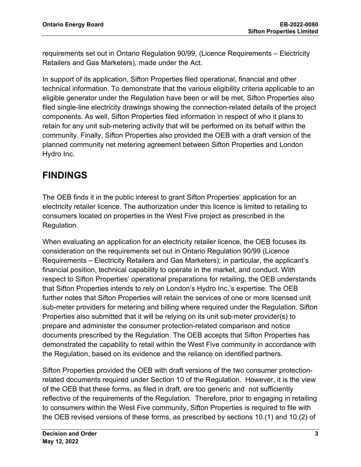requirements set out in Ontario Regulation 90/99, (Licence Requirements – Electricity Retailers and Gas Marketers), made under the Act.

In support of its application, Sifton Properties filed operational, financial and other technical information. To demonstrate that the various eligibility criteria applicable to an eligible generator under the Regulation have been or will be met, Sifton Properties also filed single-line electricity drawings showing the connection-related details of the project components. As well, Sifton Properties filed information in respect of who it plans to retain for any unit sub-metering activity that will be performed on its behalf within the community. Finally, Sifton Properties also provided the OEB with a draft version of the planned community net metering agreement between Sifton Properties and London Hydro Inc.

### **FINDINGS**

The OEB finds it in the public interest to grant Sifton Properties' application for an electricity retailer licence. The authorization under this licence is limited to retailing to consumers located on properties in the West Five project as prescribed in the Regulation.

When evaluating an application for an electricity retailer licence, the OEB focuses its consideration on the requirements set out in Ontario Regulation 90/99 (Licence Requirements – Electricity Retailers and Gas Marketers); in particular, the applicant's financial position, technical capability to operate in the market, and conduct. With respect to Sifton Properties' operational preparations for retailing, the OEB understands that Sifton Properties intends to rely on London's Hydro Inc.'s expertise. The OEB further notes that Sifton Properties will retain the services of one or more licensed unit sub-meter providers for metering and billing where required under the Regulation. Sifton Properties also submitted that it will be relying on its unit sub-meter provider(s) to prepare and administer the consumer protection-related comparison and notice documents prescribed by the Regulation. The OEB accepts that Sifton Properties has demonstrated the capability to retail within the West Five community in accordance with the Regulation, based on its evidence and the reliance on identified partners.

Sifton Properties provided the OEB with draft versions of the two consumer protectionrelated documents required under Section 10 of the Regulation. However, it is the view of the OEB that these forms, as filed in draft, are too generic and not sufficiently reflective of the requirements of the Regulation. Therefore, prior to engaging in retailing to consumers within the West Five community, Sifton Properties is required to file with the OEB revised versions of these forms, as prescribed by sections 10.(1) and 10.(2) of